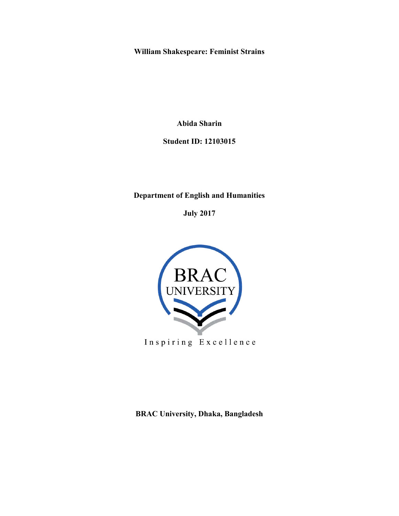**William Shakespeare: Feminist Strains** 

**Abida Sharin** 

**Student ID: 12103015** 

# **Department of English and Humanities**

**July 2017** 



**BRAC University, Dhaka, Bangladesh**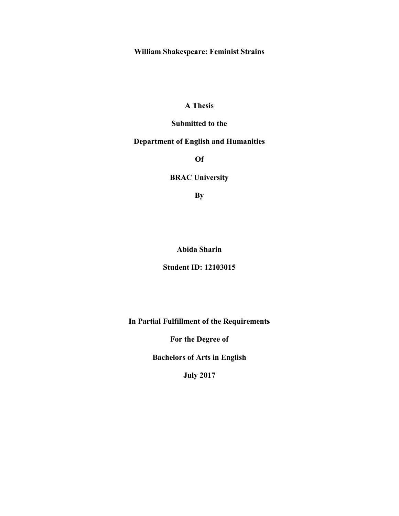**William Shakespeare: Feminist Strains** 

# **A Thesis**

## **Submitted to the**

# **Department of English and Humanities**

**Of**

# **BRAC University**

**By**

**Abida Sharin** 

## **Student ID: 12103015**

**In Partial Fulfillment of the Requirements** 

**For the Degree of** 

**Bachelors of Arts in English** 

**July 2017**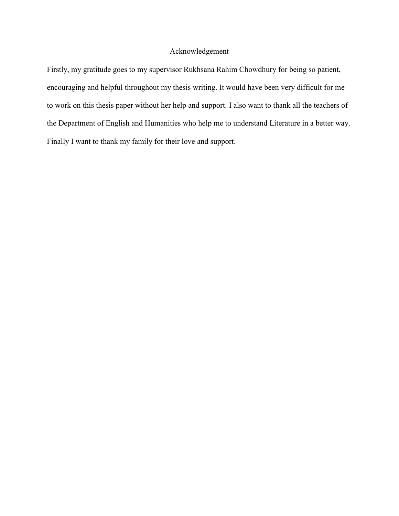## Acknowledgement

Firstly, my gratitude goes to my supervisor Rukhsana Rahim Chowdhury for being so patient, encouraging and helpful throughout my thesis writing. It would have been very difficult for me to work on this thesis paper without her help and support. I also want to thank all the teachers of the Department of English and Humanities who help me to understand Literature in a better way. Finally I want to thank my family for their love and support.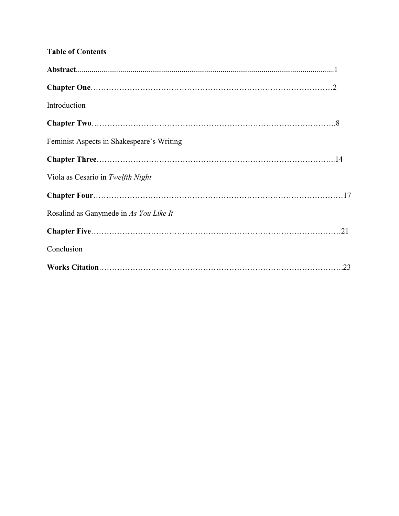| <b>Table of Contents</b>                  |  |
|-------------------------------------------|--|
|                                           |  |
|                                           |  |
| Introduction                              |  |
|                                           |  |
| Feminist Aspects in Shakespeare's Writing |  |
|                                           |  |
| Viola as Cesario in Twelfth Night         |  |
|                                           |  |
| Rosalind as Ganymede in As You Like It    |  |
|                                           |  |
| Conclusion                                |  |
|                                           |  |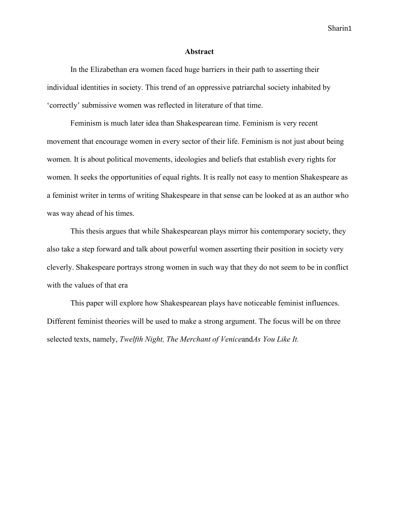#### **Abstract**

In the Elizabethan era women faced huge barriers in their path to asserting their individual identities in society. This trend of an oppressive patriarchal society inhabited by 'correctly' submissive women was reflected in literature of that time.

Feminism is much later idea than Shakespearean time. Feminism is very recent movement that encourage women in every sector of their life. Feminism is not just about being women. It is about political movements, ideologies and beliefs that establish every rights for women. It seeks the opportunities of equal rights. It is really not easy to mention Shakespeare as a feminist writer in terms of writing Shakespeare in that sense can be looked at as an author who was way ahead of his times.

This thesis argues that while Shakespearean plays mirror his contemporary society, they also take a step forward and talk about powerful women asserting their position in society very cleverly. Shakespeare portrays strong women in such way that they do not seem to be in conflict with the values of that era

This paper will explore how Shakespearean plays have noticeable feminist influences. Different feminist theories will be used to make a strong argument. The focus will be on three selected texts, namely, *Twelfth Night, The Merchant of Venice*and*As You Like It.*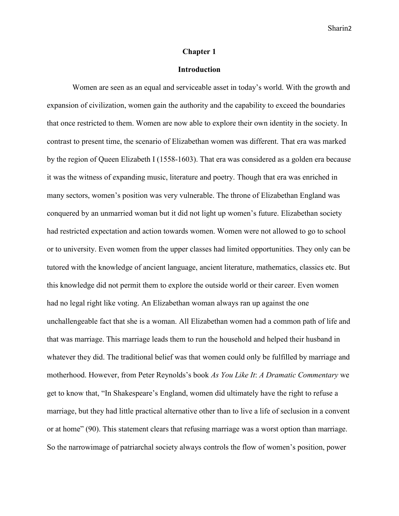#### **Chapter 1**

### **Introduction**

Women are seen as an equal and serviceable asset in today's world. With the growth and expansion of civilization, women gain the authority and the capability to exceed the boundaries that once restricted to them. Women are now able to explore their own identity in the society. In contrast to present time, the scenario of Elizabethan women was different. That era was marked by the region of Queen Elizabeth I (1558-1603). That era was considered as a golden era because it was the witness of expanding music, literature and poetry. Though that era was enriched in many sectors, women's position was very vulnerable. The throne of Elizabethan England was conquered by an unmarried woman but it did not light up women's future. Elizabethan society had restricted expectation and action towards women. Women were not allowed to go to school or to university. Even women from the upper classes had limited opportunities. They only can be tutored with the knowledge of ancient language, ancient literature, mathematics, classics etc. But this knowledge did not permit them to explore the outside world or their career. Even women had no legal right like voting. An Elizabethan woman always ran up against the one unchallengeable fact that she is a woman. All Elizabethan women had a common path of life and that was marriage. This marriage leads them to run the household and helped their husband in whatever they did. The traditional belief was that women could only be fulfilled by marriage and motherhood. However, from Peter Reynolds's book *As You Like It*: *A Dramatic Commentary* we get to know that, "In Shakespeare's England, women did ultimately have the right to refuse a marriage, but they had little practical alternative other than to live a life of seclusion in a convent or at home" (90). This statement clears that refusing marriage was a worst option than marriage. So the narrowimage of patriarchal society always controls the flow of women's position, power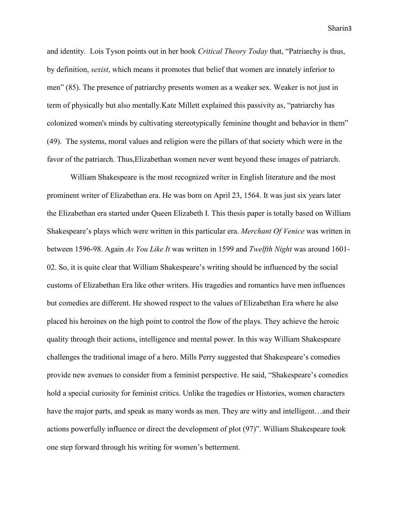and identity. Lois Tyson points out in her book *Critical Theory Today* that, "Patriarchy is thus, by definition, *sexist*, which means it promotes that belief that women are innately inferior to men" (85). The presence of patriarchy presents women as a weaker sex. Weaker is not just in term of physically but also mentally.Kate Millett explained this passivity as, "patriarchy has colonized women's minds by cultivating stereotypically feminine thought and behavior in them" (49). The systems, moral values and religion were the pillars of that society which were in the favor of the patriarch. Thus,Elizabethan women never went beyond these images of patriarch.

William Shakespeare is the most recognized writer in English literature and the most prominent writer of Elizabethan era. He was born on April 23, 1564. It was just six years later the Elizabethan era started under Queen Elizabeth I. This thesis paper is totally based on William Shakespeare's plays which were written in this particular era. *Merchant Of Venice* was written in between 1596-98. Again *As You Like It* was written in 1599 and *Twelfth Night* was around 1601- 02. So, it is quite clear that William Shakespeare's writing should be influenced by the social customs of Elizabethan Era like other writers. His tragedies and romantics have men influences but comedies are different. He showed respect to the values of Elizabethan Era where he also placed his heroines on the high point to control the flow of the plays. They achieve the heroic quality through their actions, intelligence and mental power. In this way William Shakespeare challenges the traditional image of a hero. Mills Perry suggested that Shakespeare's comedies provide new avenues to consider from a feminist perspective. He said, "Shakespeare's comedies hold a special curiosity for feminist critics. Unlike the tragedies or Histories, women characters have the major parts, and speak as many words as men. They are witty and intelligent...and their actions powerfully influence or direct the development of plot (97)". William Shakespeare took one step forward through his writing for women's betterment.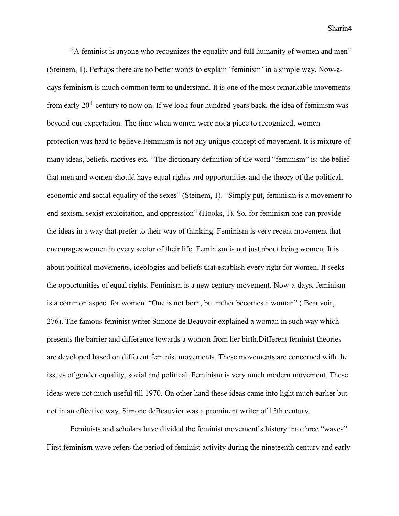"A feminist is anyone who recognizes the equality and full humanity of women and men" (Steinem, 1). Perhaps there are no better words to explain 'feminism' in a simple way. Now-adays feminism is much common term to understand. It is one of the most remarkable movements from early  $20<sup>th</sup>$  century to now on. If we look four hundred years back, the idea of feminism was beyond our expectation. The time when women were not a piece to recognized, women protection was hard to believe.Feminism is not any unique concept of movement. It is mixture of many ideas, beliefs, motives etc. "The dictionary definition of the word "feminism" is: the belief that men and women should have equal rights and opportunities and the theory of the political, economic and social equality of the sexes" (Steinem, 1). "Simply put, feminism is a movement to end sexism, sexist exploitation, and oppression" (Hooks, 1). So, for feminism one can provide the ideas in a way that prefer to their way of thinking. Feminism is very recent movement that encourages women in every sector of their life. Feminism is not just about being women. It is about political movements, ideologies and beliefs that establish every right for women. It seeks the opportunities of equal rights. Feminism is a new century movement. Now-a-days, feminism is a common aspect for women. "One is not born, but rather becomes a woman" ( Beauvoir, 276). The famous feminist writer Simone de Beauvoir explained a woman in such way which presents the barrier and difference towards a woman from her birth.Different feminist theories are developed based on different feminist movements. These movements are concerned with the issues of gender equality, social and political. Feminism is very much modern movement. These ideas were not much useful till 1970. On other hand these ideas came into light much earlier but not in an effective way. Simone deBeauvior was a prominent writer of 15th century.

Feminists and scholars have divided the feminist movement's history into three "waves". First feminism wave refers the period of feminist activity during the nineteenth century and early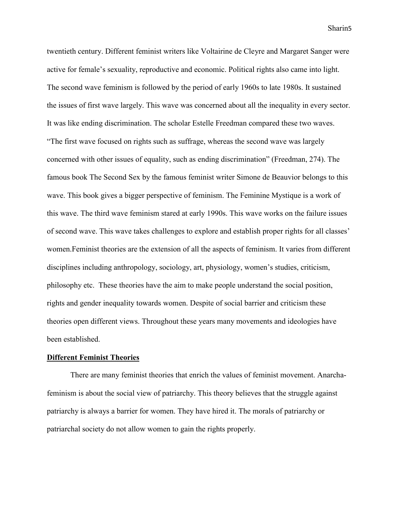twentieth century. Different feminist writers like Voltairine de Cleyre and Margaret Sanger were active for female's sexuality, reproductive and economic. Political rights also came into light. The second wave feminism is followed by the period of early 1960s to late 1980s. It sustained the issues of first wave largely. This wave was concerned about all the inequality in every sector. It was like ending discrimination. The scholar Estelle Freedman compared these two waves. "The first wave focused on rights such as suffrage, whereas the second wave was largely concerned with other issues of equality, such as ending discrimination" (Freedman, 274). The famous book The Second Sex by the famous feminist writer Simone de Beauvior belongs to this wave. This book gives a bigger perspective of feminism. The Feminine Mystique is a work of this wave. The third wave feminism stared at early 1990s. This wave works on the failure issues of second wave. This wave takes challenges to explore and establish proper rights for all classes' women.Feminist theories are the extension of all the aspects of feminism. It varies from different disciplines including anthropology, sociology, art, physiology, women's studies, criticism, philosophy etc. These theories have the aim to make people understand the social position, rights and gender inequality towards women. Despite of social barrier and criticism these theories open different views. Throughout these years many movements and ideologies have been established.

#### **Different Feminist Theories**

There are many feminist theories that enrich the values of feminist movement. Anarchafeminism is about the social view of patriarchy. This theory believes that the struggle against patriarchy is always a barrier for women. They have hired it. The morals of patriarchy or patriarchal society do not allow women to gain the rights properly.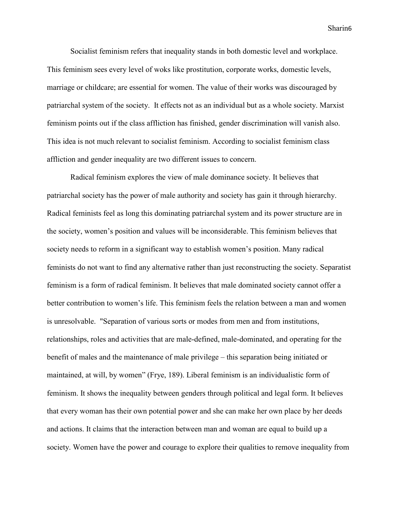Socialist feminism refers that inequality stands in both domestic level and workplace. This feminism sees every level of woks like prostitution, corporate works, domestic levels, marriage or childcare; are essential for women. The value of their works was discouraged by patriarchal system of the society. It effects not as an individual but as a whole society. Marxist feminism points out if the class affliction has finished, gender discrimination will vanish also. This idea is not much relevant to socialist feminism. According to socialist feminism class affliction and gender inequality are two different issues to concern.

Radical feminism explores the view of male dominance society. It believes that patriarchal society has the power of male authority and society has gain it through hierarchy. Radical feminists feel as long this dominating patriarchal system and its power structure are in the society, women's position and values will be inconsiderable. This feminism believes that society needs to reform in a significant way to establish women's position. Many radical feminists do not want to find any alternative rather than just reconstructing the society. Separatist feminism is a form of radical feminism. It believes that male dominated society cannot offer a better contribution to women's life. This feminism feels the relation between a man and women is unresolvable. "Separation of various sorts or modes from men and from institutions, relationships, roles and activities that are male-defined, male-dominated, and operating for the benefit of males and the maintenance of male privilege – this separation being initiated or maintained, at will, by women" (Frye, 189). Liberal feminism is an individualistic form of feminism. It shows the inequality between genders through political and legal form. It believes that every woman has their own potential power and she can make her own place by her deeds and actions. It claims that the interaction between man and woman are equal to build up a society. Women have the power and courage to explore their qualities to remove inequality from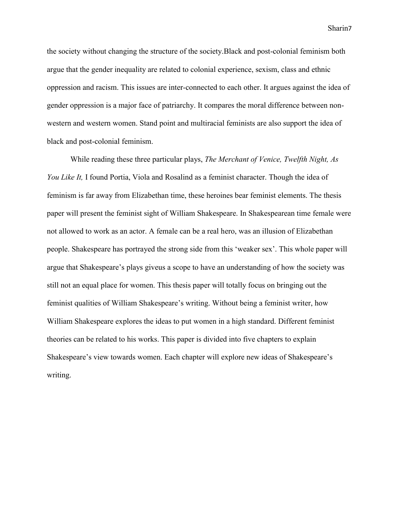the society without changing the structure of the society.Black and post-colonial feminism both argue that the gender inequality are related to colonial experience, sexism, class and ethnic oppression and racism. This issues are inter-connected to each other. It argues against the idea of gender oppression is a major face of patriarchy. It compares the moral difference between nonwestern and western women. Stand point and multiracial feminists are also support the idea of black and post-colonial feminism.

While reading these three particular plays, *The Merchant of Venice, Twelfth Night, As You Like It,* I found Portia, Viola and Rosalind as a feminist character. Though the idea of feminism is far away from Elizabethan time, these heroines bear feminist elements. The thesis paper will present the feminist sight of William Shakespeare. In Shakespearean time female were not allowed to work as an actor. A female can be a real hero, was an illusion of Elizabethan people. Shakespeare has portrayed the strong side from this 'weaker sex'. This whole paper will argue that Shakespeare's plays giveus a scope to have an understanding of how the society was still not an equal place for women. This thesis paper will totally focus on bringing out the feminist qualities of William Shakespeare's writing. Without being a feminist writer, how William Shakespeare explores the ideas to put women in a high standard. Different feminist theories can be related to his works. This paper is divided into five chapters to explain Shakespeare's view towards women. Each chapter will explore new ideas of Shakespeare's writing.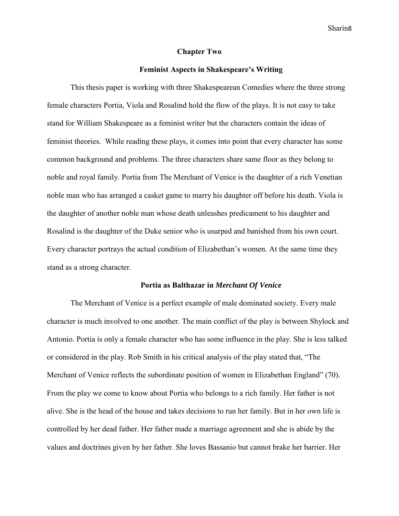#### **Chapter Two**

#### **Feminist Aspects in Shakespeare's Writing**

This thesis paper is working with three Shakespearean Comedies where the three strong female characters Portia, Viola and Rosalind hold the flow of the plays. It is not easy to take stand for William Shakespeare as a feminist writer but the characters contain the ideas of feminist theories. While reading these plays, it comes into point that every character has some common background and problems. The three characters share same floor as they belong to noble and royal family. Portia from The Merchant of Venice is the daughter of a rich Venetian noble man who has arranged a casket game to marry his daughter off before his death. Viola is the daughter of another noble man whose death unleashes predicament to his daughter and Rosalind is the daughter of the Duke senior who is usurped and banished from his own court. Every character portrays the actual condition of Elizabethan's women. At the same time they stand as a strong character.

#### **Portia as Balthazar in** *Merchant Of Venice*

The Merchant of Venice is a perfect example of male dominated society. Every male character is much involved to one another. The main conflict of the play is between Shylock and Antonio. Portia is only a female character who has some influence in the play. She is less talked or considered in the play. Rob Smith in his critical analysis of the play stated that, "The Merchant of Venice reflects the subordinate position of women in Elizabethan England" (70). From the play we come to know about Portia who belongs to a rich family. Her father is not alive. She is the head of the house and takes decisions to run her family. But in her own life is controlled by her dead father. Her father made a marriage agreement and she is abide by the values and doctrines given by her father. She loves Bassanio but cannot brake her barrier. Her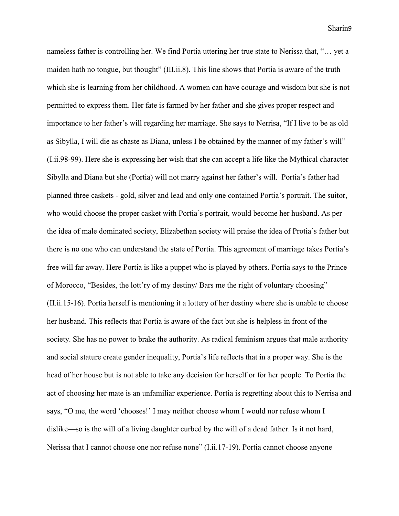nameless father is controlling her. We find Portia uttering her true state to Nerissa that, "… yet a maiden hath no tongue, but thought" (III.ii.8). This line shows that Portia is aware of the truth which she is learning from her childhood. A women can have courage and wisdom but she is not permitted to express them. Her fate is farmed by her father and she gives proper respect and importance to her father's will regarding her marriage. She says to Nerrisa, "If I live to be as old as Sibylla, I will die as chaste as Diana, unless I be obtained by the manner of my father's will" (I.ii.98-99). Here she is expressing her wish that she can accept a life like the Mythical character Sibylla and Diana but she (Portia) will not marry against her father's will. Portia's father had planned three caskets - gold, silver and lead and only one contained Portia's portrait. The suitor, who would choose the proper casket with Portia's portrait, would become her husband. As per the idea of male dominated society, Elizabethan society will praise the idea of Protia's father but there is no one who can understand the state of Portia. This agreement of marriage takes Portia's free will far away. Here Portia is like a puppet who is played by others. Portia says to the Prince of Morocco, "Besides, the lott'ry of my destiny/ Bars me the right of voluntary choosing" (II.ii.15-16). Portia herself is mentioning it a lottery of her destiny where she is unable to choose her husband. This reflects that Portia is aware of the fact but she is helpless in front of the society. She has no power to brake the authority. As radical feminism argues that male authority and social stature create gender inequality, Portia's life reflects that in a proper way. She is the head of her house but is not able to take any decision for herself or for her people. To Portia the act of choosing her mate is an unfamiliar experience. Portia is regretting about this to Nerrisa and says, "O me, the word 'chooses!' I may neither choose whom I would nor refuse whom I dislike—so is the will of a living daughter curbed by the will of a dead father. Is it not hard, Nerissa that I cannot choose one nor refuse none" (I.ii.17-19). Portia cannot choose anyone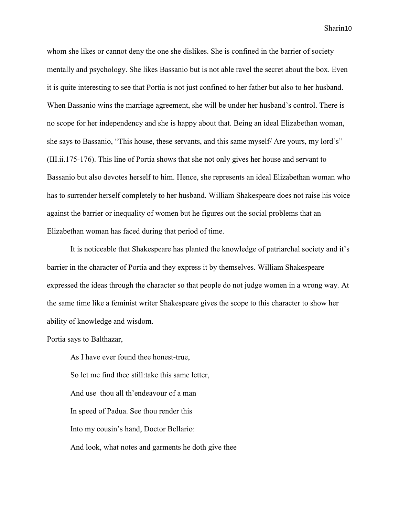whom she likes or cannot deny the one she dislikes. She is confined in the barrier of society mentally and psychology. She likes Bassanio but is not able ravel the secret about the box. Even it is quite interesting to see that Portia is not just confined to her father but also to her husband. When Bassanio wins the marriage agreement, she will be under her husband's control. There is no scope for her independency and she is happy about that. Being an ideal Elizabethan woman, she says to Bassanio, "This house, these servants, and this same myself/ Are yours, my lord's" (III.ii.175-176). This line of Portia shows that she not only gives her house and servant to Bassanio but also devotes herself to him. Hence, she represents an ideal Elizabethan woman who has to surrender herself completely to her husband. William Shakespeare does not raise his voice against the barrier or inequality of women but he figures out the social problems that an Elizabethan woman has faced during that period of time.

It is noticeable that Shakespeare has planted the knowledge of patriarchal society and it's barrier in the character of Portia and they express it by themselves. William Shakespeare expressed the ideas through the character so that people do not judge women in a wrong way. At the same time like a feminist writer Shakespeare gives the scope to this character to show her ability of knowledge and wisdom.

Portia says to Balthazar,

As I have ever found thee honest-true, So let me find thee still:take this same letter, And use thou all th'endeavour of a man In speed of Padua. See thou render this Into my cousin's hand, Doctor Bellario: And look, what notes and garments he doth give thee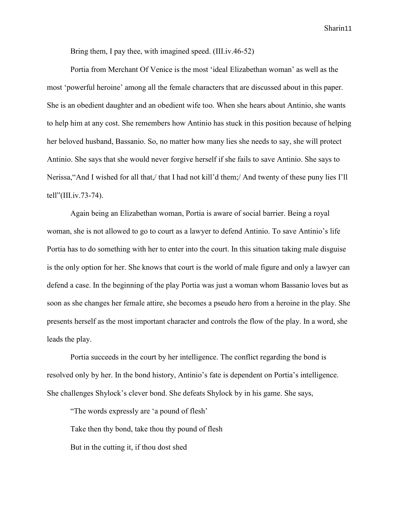Bring them, I pay thee, with imagined speed. (III.iv.46-52)

Portia from Merchant Of Venice is the most 'ideal Elizabethan woman' as well as the most 'powerful heroine' among all the female characters that are discussed about in this paper. She is an obedient daughter and an obedient wife too. When she hears about Antinio, she wants to help him at any cost. She remembers how Antinio has stuck in this position because of helping her beloved husband, Bassanio. So, no matter how many lies she needs to say, she will protect Antinio. She says that she would never forgive herself if she fails to save Antinio. She says to Nerissa,"And I wished for all that,/ that I had not kill'd them;/ And twenty of these puny lies I'll tell"(III.iv.73-74).

Again being an Elizabethan woman, Portia is aware of social barrier. Being a royal woman, she is not allowed to go to court as a lawyer to defend Antinio. To save Antinio's life Portia has to do something with her to enter into the court. In this situation taking male disguise is the only option for her. She knows that court is the world of male figure and only a lawyer can defend a case. In the beginning of the play Portia was just a woman whom Bassanio loves but as soon as she changes her female attire, she becomes a pseudo hero from a heroine in the play. She presents herself as the most important character and controls the flow of the play. In a word, she leads the play.

Portia succeeds in the court by her intelligence. The conflict regarding the bond is resolved only by her. In the bond history, Antinio's fate is dependent on Portia's intelligence. She challenges Shylock's clever bond. She defeats Shylock by in his game. She says,

"The words expressly are 'a pound of flesh' Take then thy bond, take thou thy pound of flesh But in the cutting it, if thou dost shed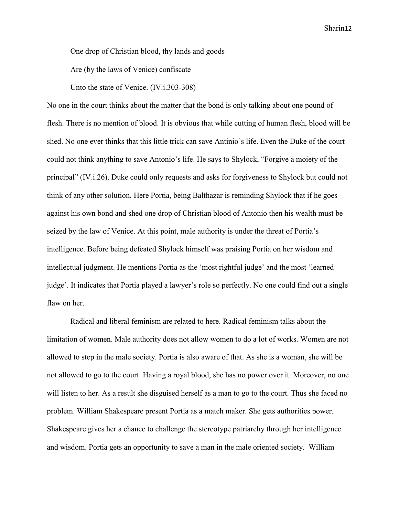One drop of Christian blood, thy lands and goods

Are (by the laws of Venice) confiscate

Unto the state of Venice. (IV.i.303-308)

No one in the court thinks about the matter that the bond is only talking about one pound of flesh. There is no mention of blood. It is obvious that while cutting of human flesh, blood will be shed. No one ever thinks that this little trick can save Antinio's life. Even the Duke of the court could not think anything to save Antonio's life. He says to Shylock, "Forgive a moiety of the principal" (IV.i.26). Duke could only requests and asks for forgiveness to Shylock but could not think of any other solution. Here Portia, being Balthazar is reminding Shylock that if he goes against his own bond and shed one drop of Christian blood of Antonio then his wealth must be seized by the law of Venice. At this point, male authority is under the threat of Portia's intelligence. Before being defeated Shylock himself was praising Portia on her wisdom and intellectual judgment. He mentions Portia as the 'most rightful judge' and the most 'learned judge'. It indicates that Portia played a lawyer's role so perfectly. No one could find out a single flaw on her.

Radical and liberal feminism are related to here. Radical feminism talks about the limitation of women. Male authority does not allow women to do a lot of works. Women are not allowed to step in the male society. Portia is also aware of that. As she is a woman, she will be not allowed to go to the court. Having a royal blood, she has no power over it. Moreover, no one will listen to her. As a result she disguised herself as a man to go to the court. Thus she faced no problem. William Shakespeare present Portia as a match maker. She gets authorities power. Shakespeare gives her a chance to challenge the stereotype patriarchy through her intelligence and wisdom. Portia gets an opportunity to save a man in the male oriented society. William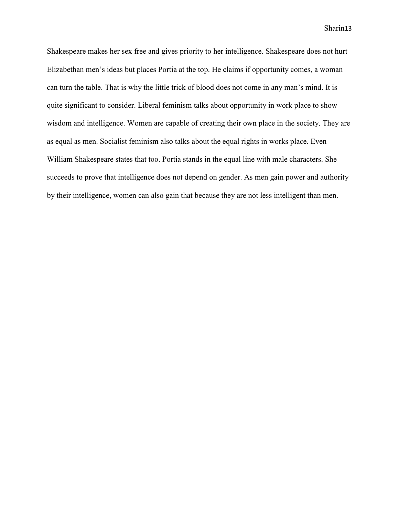Shakespeare makes her sex free and gives priority to her intelligence. Shakespeare does not hurt Elizabethan men's ideas but places Portia at the top. He claims if opportunity comes, a woman can turn the table. That is why the little trick of blood does not come in any man's mind. It is quite significant to consider. Liberal feminism talks about opportunity in work place to show wisdom and intelligence. Women are capable of creating their own place in the society. They are as equal as men. Socialist feminism also talks about the equal rights in works place. Even William Shakespeare states that too. Portia stands in the equal line with male characters. She succeeds to prove that intelligence does not depend on gender. As men gain power and authority by their intelligence, women can also gain that because they are not less intelligent than men.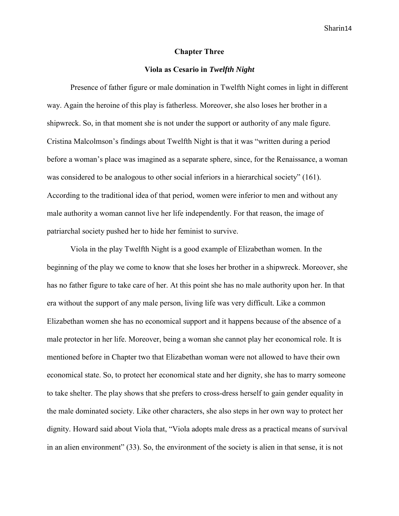#### **Chapter Three**

#### **Viola as Cesario in** *Twelfth Night*

Presence of father figure or male domination in Twelfth Night comes in light in different way. Again the heroine of this play is fatherless. Moreover, she also loses her brother in a shipwreck. So, in that moment she is not under the support or authority of any male figure. Cristina Malcolmson's findings about Twelfth Night is that it was "written during a period before a woman's place was imagined as a separate sphere, since, for the Renaissance, a woman was considered to be analogous to other social inferiors in a hierarchical society" (161). According to the traditional idea of that period, women were inferior to men and without any male authority a woman cannot live her life independently. For that reason, the image of patriarchal society pushed her to hide her feminist to survive.

Viola in the play Twelfth Night is a good example of Elizabethan women. In the beginning of the play we come to know that she loses her brother in a shipwreck. Moreover, she has no father figure to take care of her. At this point she has no male authority upon her. In that era without the support of any male person, living life was very difficult. Like a common Elizabethan women she has no economical support and it happens because of the absence of a male protector in her life. Moreover, being a woman she cannot play her economical role. It is mentioned before in Chapter two that Elizabethan woman were not allowed to have their own economical state. So, to protect her economical state and her dignity, she has to marry someone to take shelter. The play shows that she prefers to cross-dress herself to gain gender equality in the male dominated society. Like other characters, she also steps in her own way to protect her dignity. Howard said about Viola that, "Viola adopts male dress as a practical means of survival in an alien environment" (33). So, the environment of the society is alien in that sense, it is not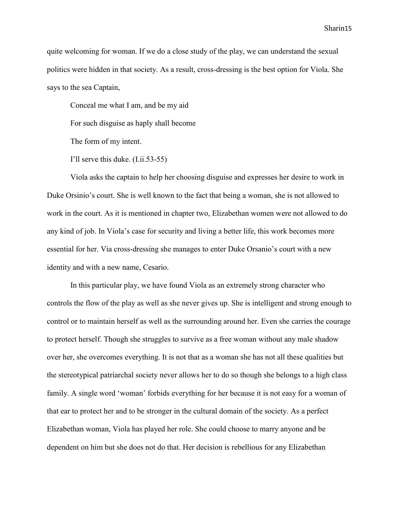quite welcoming for woman. If we do a close study of the play, we can understand the sexual politics were hidden in that society. As a result, cross-dressing is the best option for Viola. She says to the sea Captain,

Conceal me what I am, and be my aid

For such disguise as haply shall become

The form of my intent.

I'll serve this duke. (I.ii.53-55)

Viola asks the captain to help her choosing disguise and expresses her desire to work in Duke Orsinio's court. She is well known to the fact that being a woman, she is not allowed to work in the court. As it is mentioned in chapter two, Elizabethan women were not allowed to do any kind of job. In Viola's case for security and living a better life, this work becomes more essential for her. Via cross-dressing she manages to enter Duke Orsanio's court with a new identity and with a new name, Cesario.

In this particular play, we have found Viola as an extremely strong character who controls the flow of the play as well as she never gives up. She is intelligent and strong enough to control or to maintain herself as well as the surrounding around her. Even she carries the courage to protect herself. Though she struggles to survive as a free woman without any male shadow over her, she overcomes everything. It is not that as a woman she has not all these qualities but the stereotypical patriarchal society never allows her to do so though she belongs to a high class family. A single word 'woman' forbids everything for her because it is not easy for a woman of that ear to protect her and to be stronger in the cultural domain of the society. As a perfect Elizabethan woman, Viola has played her role. She could choose to marry anyone and be dependent on him but she does not do that. Her decision is rebellious for any Elizabethan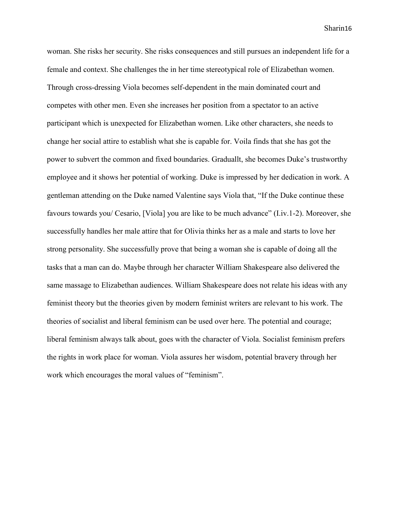woman. She risks her security. She risks consequences and still pursues an independent life for a female and context. She challenges the in her time stereotypical role of Elizabethan women. Through cross-dressing Viola becomes self-dependent in the main dominated court and competes with other men. Even she increases her position from a spectator to an active participant which is unexpected for Elizabethan women. Like other characters, she needs to change her social attire to establish what she is capable for. Voila finds that she has got the power to subvert the common and fixed boundaries. Graduallt, she becomes Duke's trustworthy employee and it shows her potential of working. Duke is impressed by her dedication in work. A gentleman attending on the Duke named Valentine says Viola that, "If the Duke continue these favours towards you/ Cesario, [Viola] you are like to be much advance" (I.iv.1-2). Moreover, she successfully handles her male attire that for Olivia thinks her as a male and starts to love her strong personality. She successfully prove that being a woman she is capable of doing all the tasks that a man can do. Maybe through her character William Shakespeare also delivered the same massage to Elizabethan audiences. William Shakespeare does not relate his ideas with any feminist theory but the theories given by modern feminist writers are relevant to his work. The theories of socialist and liberal feminism can be used over here. The potential and courage; liberal feminism always talk about, goes with the character of Viola. Socialist feminism prefers the rights in work place for woman. Viola assures her wisdom, potential bravery through her work which encourages the moral values of "feminism".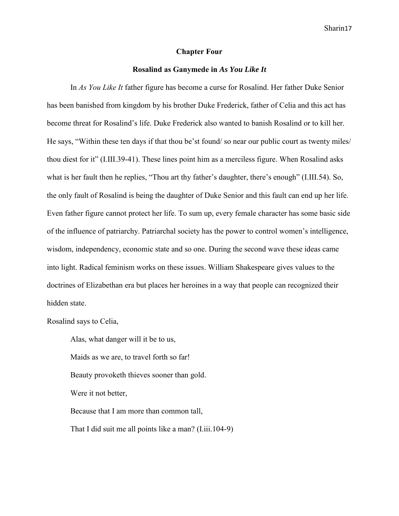#### **Chapter Four**

### **Rosalind as Ganymede in** *As You Like It*

In *As You Like It* father figure has become a curse for Rosalind. Her father Duke Senior has been banished from kingdom by his brother Duke Frederick, father of Celia and this act has become threat for Rosalind's life. Duke Frederick also wanted to banish Rosalind or to kill her. He says, "Within these ten days if that thou be'st found/ so near our public court as twenty miles/ thou diest for it" (I.III.39-41). These lines point him as a merciless figure. When Rosalind asks what is her fault then he replies, "Thou art thy father's daughter, there's enough" (I.III.54). So, the only fault of Rosalind is being the daughter of Duke Senior and this fault can end up her life. Even father figure cannot protect her life. To sum up, every female character has some basic side of the influence of patriarchy. Patriarchal society has the power to control women's intelligence, wisdom, independency, economic state and so one. During the second wave these ideas came into light. Radical feminism works on these issues. William Shakespeare gives values to the doctrines of Elizabethan era but places her heroines in a way that people can recognized their hidden state.

### Rosalind says to Celia,

Alas, what danger will it be to us, Maids as we are, to travel forth so far! Beauty provoketh thieves sooner than gold. Were it not better, Because that I am more than common tall, That I did suit me all points like a man? (I.iii.104-9)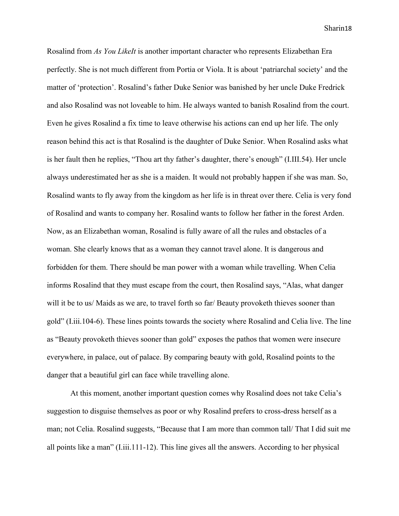Rosalind from *As You LikeIt* is another important character who represents Elizabethan Era perfectly. She is not much different from Portia or Viola. It is about 'patriarchal society' and the matter of 'protection'. Rosalind's father Duke Senior was banished by her uncle Duke Fredrick and also Rosalind was not loveable to him. He always wanted to banish Rosalind from the court. Even he gives Rosalind a fix time to leave otherwise his actions can end up her life. The only reason behind this act is that Rosalind is the daughter of Duke Senior. When Rosalind asks what is her fault then he replies, "Thou art thy father's daughter, there's enough" (I.III.54). Her uncle always underestimated her as she is a maiden. It would not probably happen if she was man. So, Rosalind wants to fly away from the kingdom as her life is in threat over there. Celia is very fond of Rosalind and wants to company her. Rosalind wants to follow her father in the forest Arden. Now, as an Elizabethan woman, Rosalind is fully aware of all the rules and obstacles of a woman. She clearly knows that as a woman they cannot travel alone. It is dangerous and forbidden for them. There should be man power with a woman while travelling. When Celia informs Rosalind that they must escape from the court, then Rosalind says, "Alas, what danger will it be to us/ Maids as we are, to travel forth so far/ Beauty provoketh thieves sooner than gold" (I.iii.104-6). These lines points towards the society where Rosalind and Celia live. The line as "Beauty provoketh thieves sooner than gold" exposes the pathos that women were insecure everywhere, in palace, out of palace. By comparing beauty with gold, Rosalind points to the danger that a beautiful girl can face while travelling alone.

At this moment, another important question comes why Rosalind does not take Celia's suggestion to disguise themselves as poor or why Rosalind prefers to cross-dress herself as a man; not Celia. Rosalind suggests, "Because that I am more than common tall/ That I did suit me all points like a man" (I.iii.111-12). This line gives all the answers. According to her physical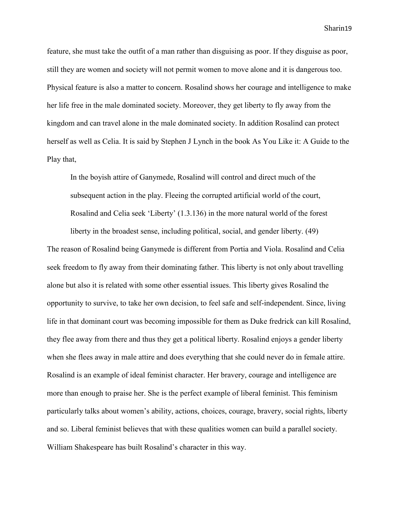feature, she must take the outfit of a man rather than disguising as poor. If they disguise as poor, still they are women and society will not permit women to move alone and it is dangerous too. Physical feature is also a matter to concern. Rosalind shows her courage and intelligence to make her life free in the male dominated society. Moreover, they get liberty to fly away from the kingdom and can travel alone in the male dominated society. In addition Rosalind can protect herself as well as Celia. It is said by Stephen J Lynch in the book As You Like it: A Guide to the Play that,

In the boyish attire of Ganymede, Rosalind will control and direct much of the subsequent action in the play. Fleeing the corrupted artificial world of the court, Rosalind and Celia seek 'Liberty' (1.3.136) in the more natural world of the forest

liberty in the broadest sense, including political, social, and gender liberty. (49)

The reason of Rosalind being Ganymede is different from Portia and Viola. Rosalind and Celia seek freedom to fly away from their dominating father. This liberty is not only about travelling alone but also it is related with some other essential issues. This liberty gives Rosalind the opportunity to survive, to take her own decision, to feel safe and self-independent. Since, living life in that dominant court was becoming impossible for them as Duke fredrick can kill Rosalind, they flee away from there and thus they get a political liberty. Rosalind enjoys a gender liberty when she flees away in male attire and does everything that she could never do in female attire. Rosalind is an example of ideal feminist character. Her bravery, courage and intelligence are more than enough to praise her. She is the perfect example of liberal feminist. This feminism particularly talks about women's ability, actions, choices, courage, bravery, social rights, liberty and so. Liberal feminist believes that with these qualities women can build a parallel society. William Shakespeare has built Rosalind's character in this way.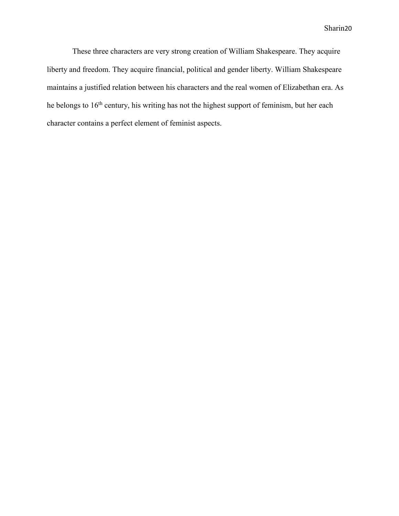These three characters are very strong creation of William Shakespeare. They acquire liberty and freedom. They acquire financial, political and gender liberty. William Shakespeare maintains a justified relation between his characters and the real women of Elizabethan era. As he belongs to 16<sup>th</sup> century, his writing has not the highest support of feminism, but her each character contains a perfect element of feminist aspects.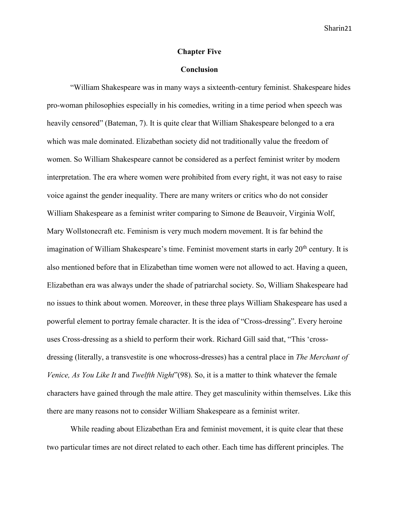#### **Chapter Five**

### **Conclusion**

"William Shakespeare was in many ways a sixteenth-century feminist. Shakespeare hides pro-woman philosophies especially in his comedies, writing in a time period when speech was heavily censored" (Bateman, 7). It is quite clear that William Shakespeare belonged to a era which was male dominated. Elizabethan society did not traditionally value the freedom of women. So William Shakespeare cannot be considered as a perfect feminist writer by modern interpretation. The era where women were prohibited from every right, it was not easy to raise voice against the gender inequality. There are many writers or critics who do not consider William Shakespeare as a feminist writer comparing to Simone de Beauvoir, Virginia Wolf, Mary Wollstonecraft etc. Feminism is very much modern movement. It is far behind the imagination of William Shakespeare's time. Feminist movement starts in early 20<sup>th</sup> century. It is also mentioned before that in Elizabethan time women were not allowed to act. Having a queen, Elizabethan era was always under the shade of patriarchal society. So, William Shakespeare had no issues to think about women. Moreover, in these three plays William Shakespeare has used a powerful element to portray female character. It is the idea of "Cross-dressing". Every heroine uses Cross-dressing as a shield to perform their work. Richard Gill said that, "This 'crossdressing (literally, a transvestite is one whocross-dresses) has a central place in *The Merchant of Venice, As You Like It* and *Twelfth Night*"(98). So, it is a matter to think whatever the female characters have gained through the male attire. They get masculinity within themselves. Like this there are many reasons not to consider William Shakespeare as a feminist writer.

While reading about Elizabethan Era and feminist movement, it is quite clear that these two particular times are not direct related to each other. Each time has different principles. The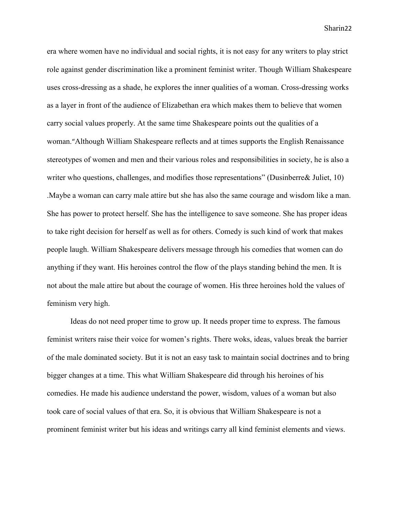era where women have no individual and social rights, it is not easy for any writers to play strict role against gender discrimination like a prominent feminist writer. Though William Shakespeare uses cross-dressing as a shade, he explores the inner qualities of a woman. Cross-dressing works as a layer in front of the audience of Elizabethan era which makes them to believe that women carry social values properly. At the same time Shakespeare points out the qualities of a woman."Although William Shakespeare reflects and at times supports the English Renaissance stereotypes of women and men and their various roles and responsibilities in society, he is also a writer who questions, challenges, and modifies those representations" (Dusinberre& Juliet, 10) .Maybe a woman can carry male attire but she has also the same courage and wisdom like a man. She has power to protect herself. She has the intelligence to save someone. She has proper ideas to take right decision for herself as well as for others. Comedy is such kind of work that makes people laugh. William Shakespeare delivers message through his comedies that women can do anything if they want. His heroines control the flow of the plays standing behind the men. It is not about the male attire but about the courage of women. His three heroines hold the values of feminism very high.

Ideas do not need proper time to grow up. It needs proper time to express. The famous feminist writers raise their voice for women's rights. There woks, ideas, values break the barrier of the male dominated society. But it is not an easy task to maintain social doctrines and to bring bigger changes at a time. This what William Shakespeare did through his heroines of his comedies. He made his audience understand the power, wisdom, values of a woman but also took care of social values of that era. So, it is obvious that William Shakespeare is not a prominent feminist writer but his ideas and writings carry all kind feminist elements and views.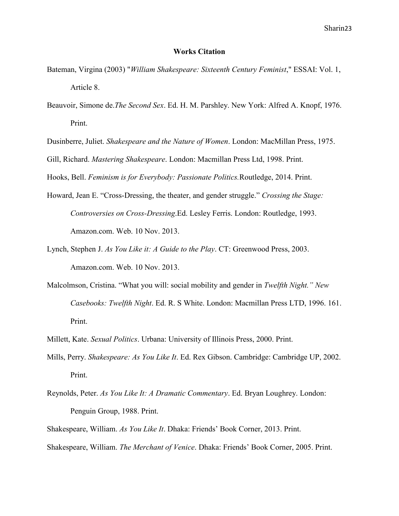#### **Works Citation**

- Bateman, Virgina (2003) "*William Shakespeare: Sixteenth Century Feminist*," ESSAI: Vol. 1, Article 8.
- Beauvoir, Simone de.*The Second Sex*. Ed. H. M. Parshley. New York: Alfred A. Knopf, 1976. Print.
- Dusinberre, Juliet. *Shakespeare and the Nature of Women*. London: MacMillan Press, 1975.

Gill, Richard. *Mastering Shakespeare*. London: Macmillan Press Ltd, 1998. Print.

Hooks, Bell. *Feminism is for Everybody: Passionate Politics.*Routledge, 2014. Print.

- Howard, Jean E. "Cross-Dressing, the theater, and gender struggle." *Crossing the Stage: Controversies on Cross-Dressing*.Ed. Lesley Ferris. London: Routledge, 1993. Amazon.com. Web. 10 Nov. 2013.
- Lynch, Stephen J. *As You Like it: A Guide to the Play*. CT: Greenwood Press, 2003. Amazon.com. Web. 10 Nov. 2013.
- Malcolmson, Cristina. "What you will: social mobility and gender in *Twelfth Night." New Casebooks: Twelfth Night*. Ed. R. S White. London: Macmillan Press LTD, 1996. 161. Print.
- Millett, Kate. *Sexual Politics*. Urbana: University of Illinois Press, 2000. Print.
- Mills, Perry. *Shakespeare: As You Like It*. Ed. Rex Gibson. Cambridge: Cambridge UP, 2002. Print.
- Reynolds, Peter. *As You Like It: A Dramatic Commentary*. Ed. Bryan Loughrey. London: Penguin Group, 1988. Print.
- Shakespeare, William. *As You Like It*. Dhaka: Friends' Book Corner, 2013. Print.

Shakespeare, William. *The Merchant of Venice*. Dhaka: Friends' Book Corner, 2005. Print.